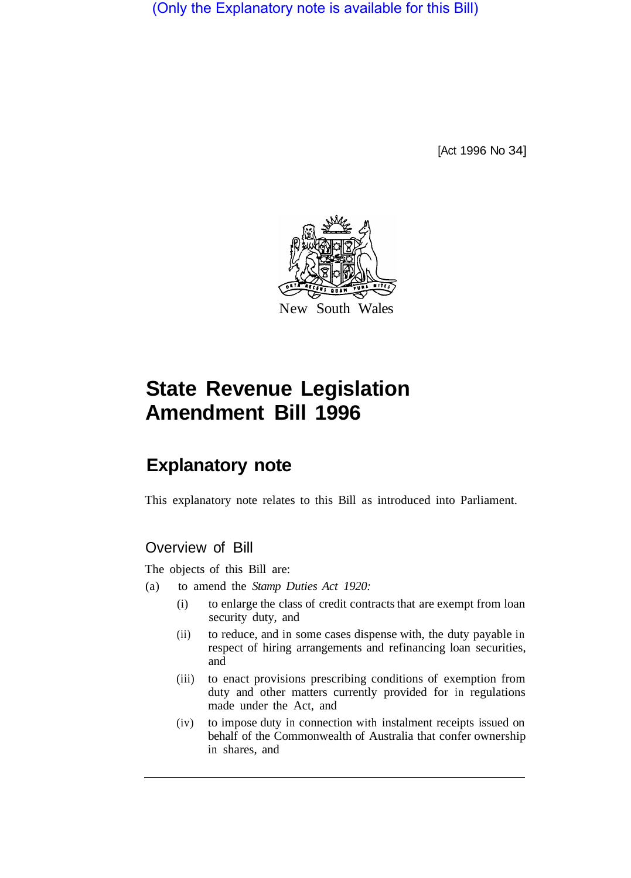(Only the Explanatory note is available for this Bill)

[Act 1996 No 34]



## **State Revenue Legislation Amendment Bill 1996**

## **Explanatory note**

This explanatory note relates to this Bill as introduced into Parliament.

## Overview of Bill

The objects of this Bill are:

- (a) to amend the *Stamp Duties Act 1920:* 
	- (i) to enlarge the class of credit contracts that are exempt from loan security duty, and
	- (ii) to reduce, and in some cases dispense with, the duty payable in respect of hiring arrangements and refinancing loan securities, and
	- (iii) to enact provisions prescribing conditions of exemption from duty and other matters currently provided for in regulations made under the Act, and
	- (iv) to impose duty in connection with instalment receipts issued on behalf of the Commonwealth of Australia that confer ownership in shares, and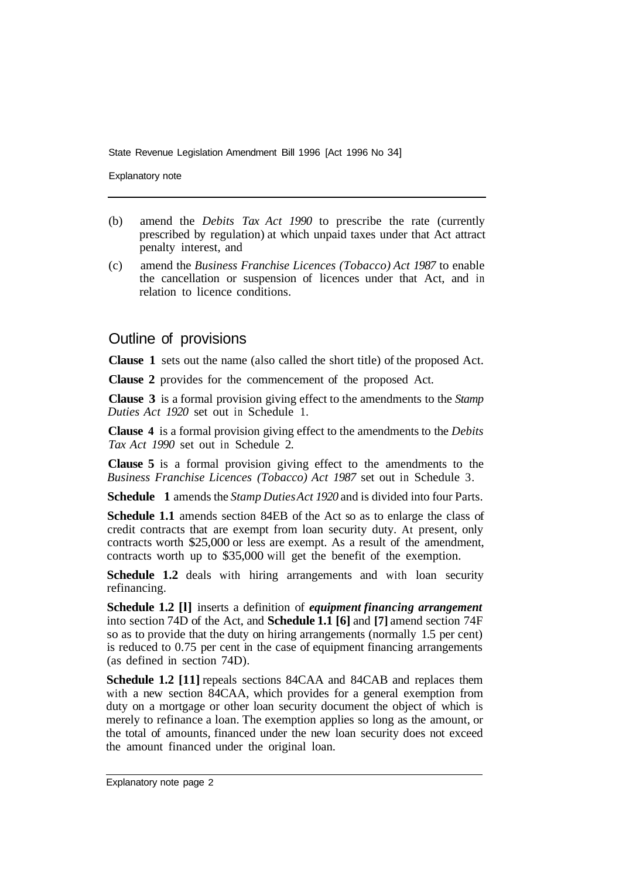State Revenue Legislation Amendment Bill 1996 [Act 1996 No 34]

Explanatory note

- (b) amend the *Debits Tax Act 1990* to prescribe the rate (currently prescribed by regulation) at which unpaid taxes under that Act attract penalty interest, and
- (c) amend the *Business Franchise Licences (Tobacco) Act 1987* to enable the cancellation or suspension of licences under that Act, and in relation to licence conditions.

## Outline of provisions

**Clause 1** sets out the name (also called the short title) of the proposed Act.

**Clause 2** provides for the commencement of the proposed Act.

**Clause 3** is a formal provision giving effect to the amendments to the *Stamp Duties Act 1920* set out in Schedule 1.

**Clause 4** is a formal provision giving effect to the amendments to the *Debits Tax Act 1990* set out in Schedule 2.

**Clause 5** is a formal provision giving effect to the amendments to the *Business Franchise Licences (Tobacco) Act 1987* set out in Schedule 3.

**Schedule 1** amends the *Stamp Duties Act 1920* and is divided into four Parts.

**Schedule 1.1** amends section 84EB of the Act so as to enlarge the class of credit contracts that are exempt from loan security duty. At present, only contracts worth \$25,000 or less are exempt. As a result of the amendment, contracts worth up to \$35,000 will get the benefit of the exemption.

**Schedule 1.2** deals with hiring arrangements and with loan security refinancing.

**Schedule 1.2 [l]** inserts a definition of *equipment financing arrangement*  into section 74D of the Act, and **Schedule 1.1 [6]** and **[7]** amend section 74F so as to provide that the duty on hiring arrangements (normally 1.5 per cent) is reduced to 0.75 per cent in the case of equipment financing arrangements (as defined in section 74D).

**Schedule 1.2 [11] repeals sections 84CAA and 84CAB and replaces them** with a new section 84CAA, which provides for a general exemption from duty on a mortgage or other loan security document the object of which is merely to refinance a loan. The exemption applies so long as the amount, or the total of amounts, financed under the new loan security does not exceed the amount financed under the original loan.

Explanatory note page 2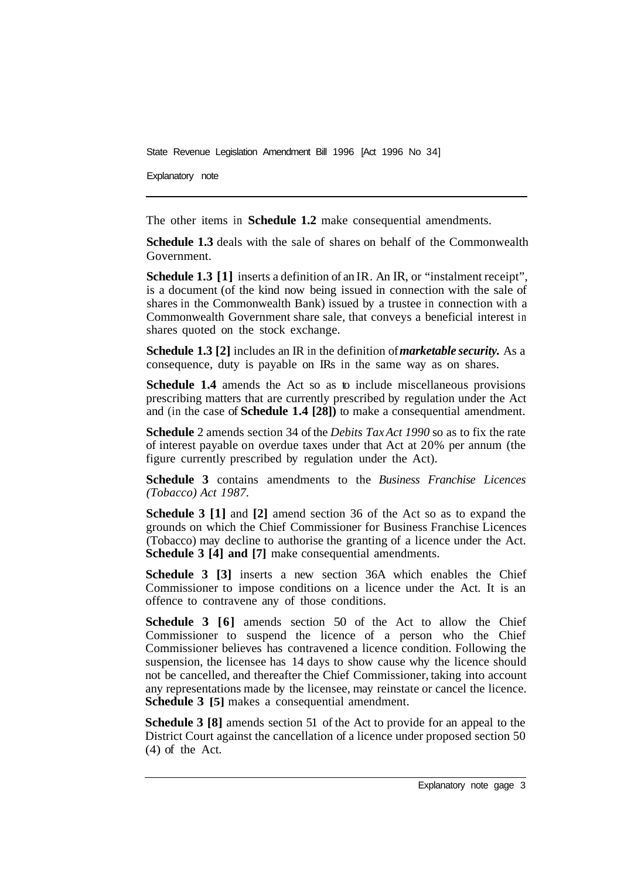State Revenue Legislation Amendment Bill 1996 [Act 1996 No 34]

Explanatory note

The other items in **Schedule 1.2** make consequential amendments.

**Schedule 1.3** deals with the sale of shares on behalf of the Commonwealth Government.

**Schedule 1.3 [1]** inserts a definition of an IR. An IR, or "instalment receipt", is a document (of the kind now being issued in connection with the sale of shares in the Commonwealth Bank) issued by a trustee in connection with a Commonwealth Government share sale, that conveys a beneficial interest in shares quoted on the stock exchange.

**Schedule 1.3 [2]** includes an IR in the definition of *marketable security.* As a consequence, duty is payable on IRs in the same way as on shares.

**Schedule 1.4** amends the Act so as to include miscellaneous provisions prescribing matters that are currently prescribed by regulation under the Act and (in the case of **Schedule 1.4 [28])** to make a consequential amendment.

**Schedule** 2 amends section 34 of the *Debits Tax Act 1990* so as to fix the rate of interest payable on overdue taxes under that Act at 20% per annum (the figure currently prescribed by regulation under the Act).

**Schedule 3** contains amendments to the *Business Franchise Licences (Tobacco) Act 1987.* 

**Schedule 3 [1]** and **[2]** amend section 36 of the Act so as to expand the grounds on which the Chief Commissioner for Business Franchise Licences (Tobacco) may decline to authorise the granting of a licence under the Act. **Schedule 3 [4] and [7]** make consequential amendments.

**Schedule 3 [3]** inserts a new section 36A which enables the Chief Commissioner to impose conditions on a licence under the Act. It is an offence to contravene any of those conditions.

**Schedule 3 [6]** amends section 50 of the Act to allow the Chief Commissioner to suspend the licence of a person who the Chief Commissioner believes has contravened a licence condition. Following the suspension, the licensee has 14 days to show cause why the licence should not be cancelled, and thereafter the Chief Commissioner, taking into account any representations made by the licensee, may reinstate or cancel the licence. **Schedule 3** [5] makes a consequential amendment.

**Schedule 3 [8]** amends section 51 of the Act to provide for an appeal to the District Court against the cancellation of a licence under proposed section 50 (4) of the Act.